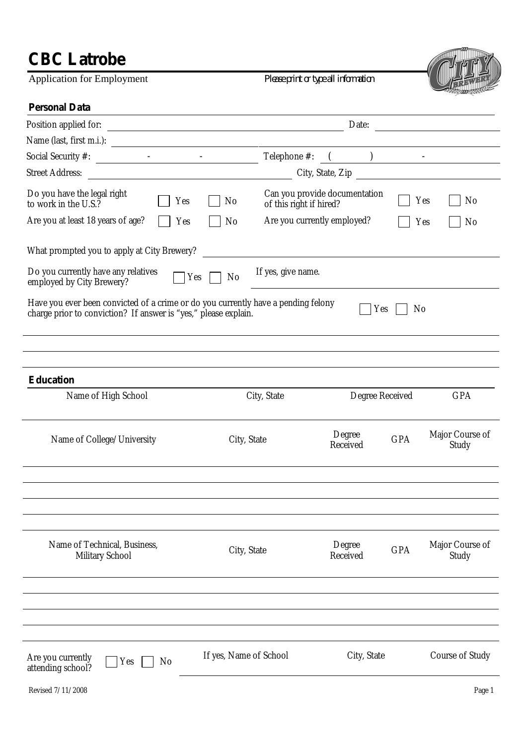

Application for Employment *P* 

|  |  |  |  |  |  |  | Please print or type all information |  |
|--|--|--|--|--|--|--|--------------------------------------|--|
|--|--|--|--|--|--|--|--------------------------------------|--|

| Personal Data                                                                                                                                        |                               |                               |            |                          |
|------------------------------------------------------------------------------------------------------------------------------------------------------|-------------------------------|-------------------------------|------------|--------------------------|
|                                                                                                                                                      |                               | Date:                         |            |                          |
|                                                                                                                                                      |                               |                               |            |                          |
|                                                                                                                                                      |                               | Telephone $\#:$ $($ $)$ $ -$  |            |                          |
|                                                                                                                                                      |                               | City, State, Zip              |            |                          |
| Do you have the legal right<br>Yes<br>to work in the U.S.?                                                                                           | No<br>of this right if hired? | Can you provide documentation |            | No<br>Yes                |
| Are you at least 18 years of age?<br>Yes                                                                                                             | <b>No</b>                     | Are you currently employed?   | Yes        | No                       |
| What prompted you to apply at City Brewery?<br>Do you currently have any relatives                                                                   | If yes, give name.            |                               |            |                          |
| employed by City Brewery?                                                                                                                            | Yes<br>No                     |                               |            |                          |
| Have you ever been convicted of a crime or do you currently have a pending felony<br>charge prior to conviction? If answer is "yes," please explain. |                               | Yes                           | No         |                          |
|                                                                                                                                                      |                               |                               |            |                          |
| Education                                                                                                                                            |                               |                               |            |                          |
| Name of High School                                                                                                                                  | City, State                   | Degree Received               |            | <b>GPA</b>               |
| Name of College/University                                                                                                                           | City, State                   | Degree<br>Received            | <b>GPA</b> | Major Course of<br>Study |
|                                                                                                                                                      |                               |                               |            |                          |
| Name of Technical, Business,<br>Military School                                                                                                      | City, State                   | Degree<br>Received            | <b>GPA</b> | Major Course of<br>Study |
|                                                                                                                                                      |                               |                               |            |                          |
| Are you currently<br>No<br>Yes<br>attending school?                                                                                                  | If yes, Name of School        | City, State                   |            | Course of Study          |
| Revised 7/11/2008                                                                                                                                    |                               |                               |            | Page 1                   |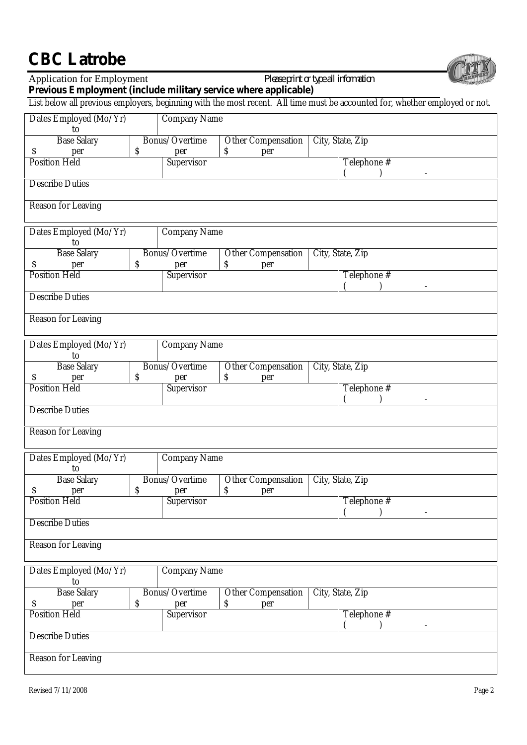| <b>Application for Employment</b>                               | Please print or type all information |
|-----------------------------------------------------------------|--------------------------------------|
| Previous Employment (include military service where applicable) |                                      |

List below all previous employers, beginning with the most recent. All time must be accounted for, whether employed or not.

| Dates Employed (Mo/Yr)<br>to    | <b>Company Name</b>         |                                 |                          |
|---------------------------------|-----------------------------|---------------------------------|--------------------------|
| <b>Base Salary</b>              | Bonus/Overtime              | Other Compensation              | City, State, Zip         |
| \$<br>per                       | \$<br>per                   | \$<br>per                       |                          |
| Position Held                   | Supervisor                  |                                 | Telephone #              |
| <b>Describe Duties</b>          |                             |                                 |                          |
| Reason for Leaving              |                             |                                 |                          |
| Dates Employed (Mo/Yr)<br>to    | Company Name                |                                 |                          |
| <b>Base Salary</b><br>\$<br>per | \$<br>Bonus/Overtime<br>per | Other Compensation<br>\$<br>per | City, State, Zip         |
| <b>Position Held</b>            | Supervisor                  |                                 | Telephone #              |
| <b>Describe Duties</b>          |                             |                                 |                          |
| Reason for Leaving              |                             |                                 |                          |
| Dates Employed (Mo/Yr)<br>to    | <b>Company Name</b>         |                                 |                          |
| <b>Base Salary</b><br>\$<br>per | \$<br>Bonus/Overtime<br>per | Other Compensation<br>\$<br>per | City, State, Zip         |
| Position Held                   | Supervisor                  |                                 | Telephone #              |
| <b>Describe Duties</b>          |                             |                                 |                          |
| Reason for Leaving              |                             |                                 |                          |
| Dates Employed (Mo/Yr)<br>to    | <b>Company Name</b>         |                                 |                          |
| <b>Base Salary</b>              | Bonus/Overtime              | Other Compensation              | City, State, Zip         |
| \$<br>per<br>Position Held      | \$<br>per<br>Supervisor     | \$<br>per                       | Telephone #              |
|                                 |                             |                                 | $\overline{\phantom{a}}$ |
| <b>Describe Duties</b>          |                             |                                 |                          |
| Reason for Leaving              |                             |                                 |                          |
| Dates Employed (Mo/Yr)<br>to    | <b>Company Name</b>         |                                 |                          |
| <b>Base Salary</b><br>\$<br>per | \$<br>Bonus/Overtime<br>per | Other Compensation<br>\$<br>per | City, State, Zip         |
| <b>Position Held</b>            | Supervisor                  |                                 | Telephone #              |
| <b>Describe Duties</b>          |                             |                                 |                          |
| Reason for Leaving              |                             |                                 |                          |

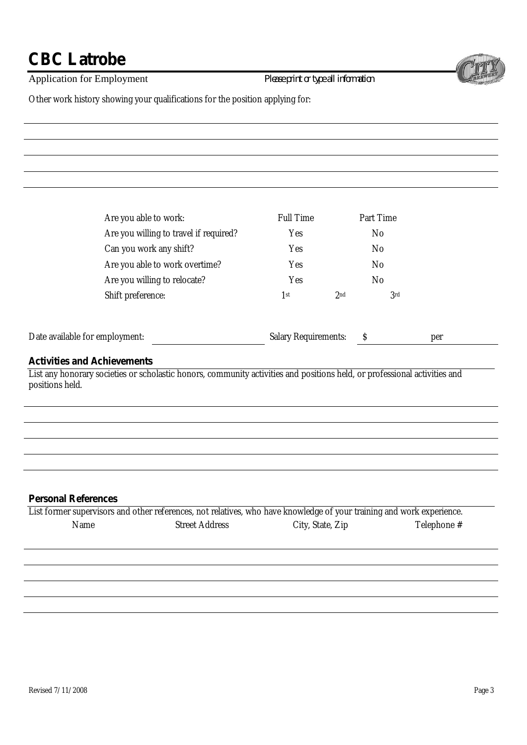Application for Employment *Please print or type all information*

Other work history showing your qualifications for the position applying for:

| Are you willing to travel if required?<br>Yes<br><b>No</b><br>Can you work any shift?<br>Yes<br>No<br>Are you able to work overtime?<br>Yes<br><b>No</b><br>Are you willing to relocate?<br>Yes<br><b>No</b><br>Shift preference:<br>2 <sub>nd</sub><br>3 <sub>rd</sub><br>1st<br>Date available for employment:<br>Salary Requirements:<br>per<br>\$<br><b>Activities and Achievements</b><br>List any honorary societies or scholastic honors, community activities and positions held, or professional activities and<br>positions held.<br>Personal References<br>List former supervisors and other references, not relatives, who have knowledge of your training and work experience.<br><b>Street Address</b><br>City, State, Zip<br>Name | Telephone # | Are you able to work: | Full Time | Part Time |  |
|--------------------------------------------------------------------------------------------------------------------------------------------------------------------------------------------------------------------------------------------------------------------------------------------------------------------------------------------------------------------------------------------------------------------------------------------------------------------------------------------------------------------------------------------------------------------------------------------------------------------------------------------------------------------------------------------------------------------------------------------------|-------------|-----------------------|-----------|-----------|--|
|                                                                                                                                                                                                                                                                                                                                                                                                                                                                                                                                                                                                                                                                                                                                                  |             |                       |           |           |  |
|                                                                                                                                                                                                                                                                                                                                                                                                                                                                                                                                                                                                                                                                                                                                                  |             |                       |           |           |  |
|                                                                                                                                                                                                                                                                                                                                                                                                                                                                                                                                                                                                                                                                                                                                                  |             |                       |           |           |  |
|                                                                                                                                                                                                                                                                                                                                                                                                                                                                                                                                                                                                                                                                                                                                                  |             |                       |           |           |  |
|                                                                                                                                                                                                                                                                                                                                                                                                                                                                                                                                                                                                                                                                                                                                                  |             |                       |           |           |  |
|                                                                                                                                                                                                                                                                                                                                                                                                                                                                                                                                                                                                                                                                                                                                                  |             |                       |           |           |  |
|                                                                                                                                                                                                                                                                                                                                                                                                                                                                                                                                                                                                                                                                                                                                                  |             |                       |           |           |  |
|                                                                                                                                                                                                                                                                                                                                                                                                                                                                                                                                                                                                                                                                                                                                                  |             |                       |           |           |  |
|                                                                                                                                                                                                                                                                                                                                                                                                                                                                                                                                                                                                                                                                                                                                                  |             |                       |           |           |  |
|                                                                                                                                                                                                                                                                                                                                                                                                                                                                                                                                                                                                                                                                                                                                                  |             |                       |           |           |  |
|                                                                                                                                                                                                                                                                                                                                                                                                                                                                                                                                                                                                                                                                                                                                                  |             |                       |           |           |  |
|                                                                                                                                                                                                                                                                                                                                                                                                                                                                                                                                                                                                                                                                                                                                                  |             |                       |           |           |  |